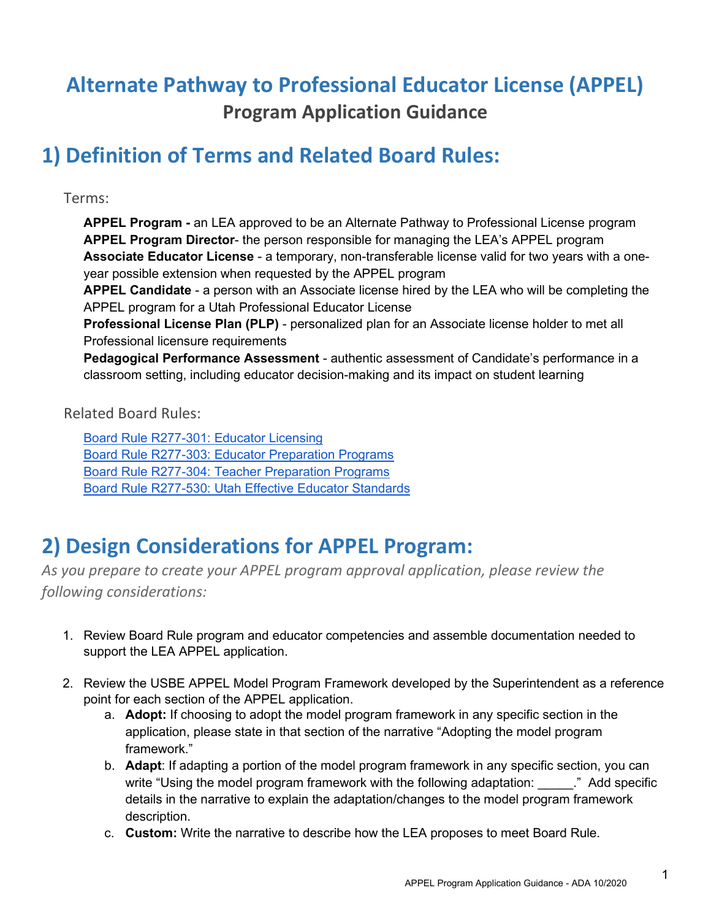# **Alternate Pathway to Professional Educator License (APPEL) Program Application Guidance**

## **1) Definition of Terms and Related Board Rules:**

Terms:

**APPEL Program -** an LEA approved to be an Alternate Pathway to Professional License program **APPEL Program Director**- the person responsible for managing the LEA's APPEL program **Associate Educator License** - a temporary, non-transferable license valid for two years with a oneyear possible extension when requested by the APPEL program

**APPEL Candidate** - a person with an Associate license hired by the LEA who will be completing the APPEL program for a Utah Professional Educator License

**Professional License Plan (PLP)** - personalized plan for an Associate license holder to met all Professional licensure requirements

**Pedagogical Performance Assessment** - authentic assessment of Candidate's performance in a classroom setting, including educator decision-making and its impact on student learning

Related Board Rules:

[Board Rule R277-301: Educator Licensing](https://rules.utah.gov/publicat/code/r277/r277-301.htm) [Board Rule R277-303: Educator Preparation Programs](https://rules.utah.gov/publicat/code/r277/r277-303.htm) [Board Rule R277-304: Teacher Preparation Programs](https://rules.utah.gov/publicat/code/r277/r277-304.htm) [Board Rule R277-530: Utah Effective Educator Standards](https://rules.utah.gov/publicat/code/r277/r277-530.htm)

# **2) Design Considerations for APPEL Program:**

*As you prepare to create your APPEL program approval application, please review the following considerations:* 

- 1. Review Board Rule program and educator competencies and assemble documentation needed to support the LEA APPEL application.
- 2. Review the USBE APPEL Model Program Framework developed by the Superintendent as a reference point for each section of the APPEL application.
	- a. **Adopt:** If choosing to adopt the model program framework in any specific section in the application, please state in that section of the narrative "Adopting the model program framework."
	- b. **Adapt**: If adapting a portion of the model program framework in any specific section, you can write "Using the model program framework with the following adaptation: " ..." Add specific details in the narrative to explain the adaptation/changes to the model program framework description.
	- c. **Custom:** Write the narrative to describe how the LEA proposes to meet Board Rule.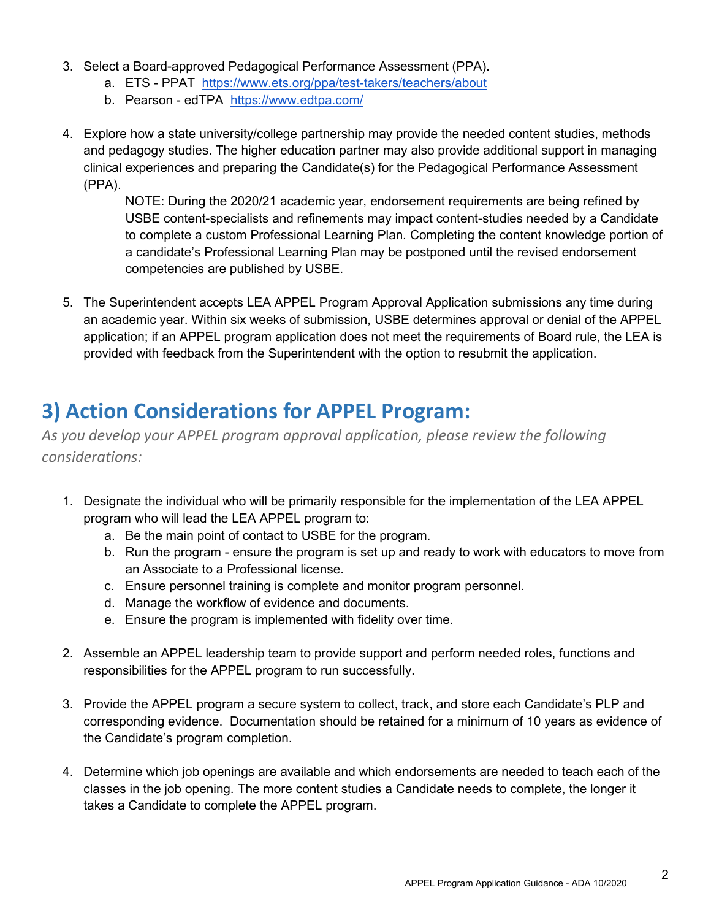- 3. Select a Board-approved Pedagogical Performance Assessment (PPA).
	- a. ETS PPAT <https://www.ets.org/ppa/test-takers/teachers/about>
	- b. Pearson edTPA <https://www.edtpa.com/>
- 4. Explore how a state university/college partnership may provide the needed content studies, methods and pedagogy studies. The higher education partner may also provide additional support in managing clinical experiences and preparing the Candidate(s) for the Pedagogical Performance Assessment (PPA).

NOTE: During the 2020/21 academic year, endorsement requirements are being refined by USBE content-specialists and refinements may impact content-studies needed by a Candidate to complete a custom Professional Learning Plan. Completing the content knowledge portion of a candidate's Professional Learning Plan may be postponed until the revised endorsement competencies are published by USBE.

5. The Superintendent accepts LEA APPEL Program Approval Application submissions any time during an academic year. Within six weeks of submission, USBE determines approval or denial of the APPEL application; if an APPEL program application does not meet the requirements of Board rule, the LEA is provided with feedback from the Superintendent with the option to resubmit the application.

## **3) Action Considerations for APPEL Program:**

*As you develop your APPEL program approval application, please review the following considerations:* 

- 1. Designate the individual who will be primarily responsible for the implementation of the LEA APPEL program who will lead the LEA APPEL program to:
	- a. Be the main point of contact to USBE for the program.
	- b. Run the program ensure the program is set up and ready to work with educators to move from an Associate to a Professional license.
	- c. Ensure personnel training is complete and monitor program personnel.
	- d. Manage the workflow of evidence and documents.
	- e. Ensure the program is implemented with fidelity over time.
- 2. Assemble an APPEL leadership team to provide support and perform needed roles, functions and responsibilities for the APPEL program to run successfully.
- 3. Provide the APPEL program a secure system to collect, track, and store each Candidate's PLP and corresponding evidence. Documentation should be retained for a minimum of 10 years as evidence of the Candidate's program completion.
- 4. Determine which job openings are available and which endorsements are needed to teach each of the classes in the job opening. The more content studies a Candidate needs to complete, the longer it takes a Candidate to complete the APPEL program.

2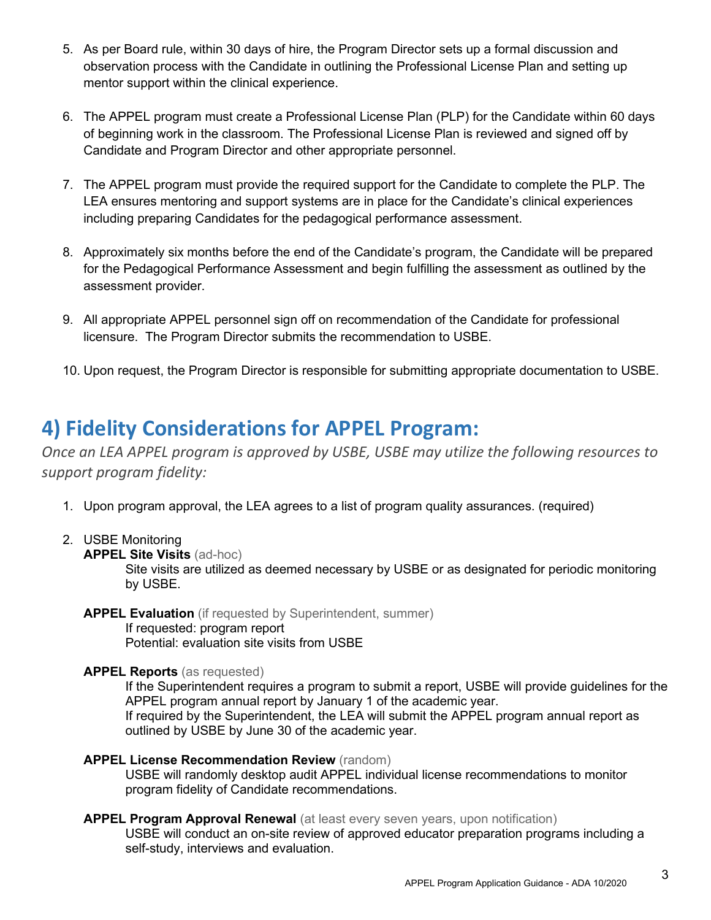- 5. As per Board rule, within 30 days of hire, the Program Director sets up a formal discussion and observation process with the Candidate in outlining the Professional License Plan and setting up mentor support within the clinical experience.
- 6. The APPEL program must create a Professional License Plan (PLP) for the Candidate within 60 days of beginning work in the classroom. The Professional License Plan is reviewed and signed off by Candidate and Program Director and other appropriate personnel.
- 7. The APPEL program must provide the required support for the Candidate to complete the PLP. The LEA ensures mentoring and support systems are in place for the Candidate's clinical experiences including preparing Candidates for the pedagogical performance assessment.
- 8. Approximately six months before the end of the Candidate's program, the Candidate will be prepared for the Pedagogical Performance Assessment and begin fulfilling the assessment as outlined by the assessment provider.
- 9. All appropriate APPEL personnel sign off on recommendation of the Candidate for professional licensure. The Program Director submits the recommendation to USBE.
- 10. Upon request, the Program Director is responsible for submitting appropriate documentation to USBE.

## **4) Fidelity Considerations for APPEL Program:**

*Once an LEA APPEL program is approved by USBE, USBE may utilize the following resources to support program fidelity:*

- 1. Upon program approval, the LEA agrees to a list of program quality assurances. (required)
- 2. USBE Monitoring
	- **APPEL Site Visits** (ad-hoc)

Site visits are utilized as deemed necessary by USBE or as designated for periodic monitoring by USBE.

**APPEL Evaluation** (if requested by Superintendent, summer) If requested: program report Potential: evaluation site visits from USBE

### **APPEL Reports** (as requested)

If the Superintendent requires a program to submit a report, USBE will provide guidelines for the APPEL program annual report by January 1 of the academic year.

If required by the Superintendent, the LEA will submit the APPEL program annual report as outlined by USBE by June 30 of the academic year.

## **APPEL License Recommendation Review** (random)

USBE will randomly desktop audit APPEL individual license recommendations to monitor program fidelity of Candidate recommendations.

### **APPEL Program Approval Renewal (at least every seven years, upon notification)**

USBE will conduct an on-site review of approved educator preparation programs including a self-study, interviews and evaluation.